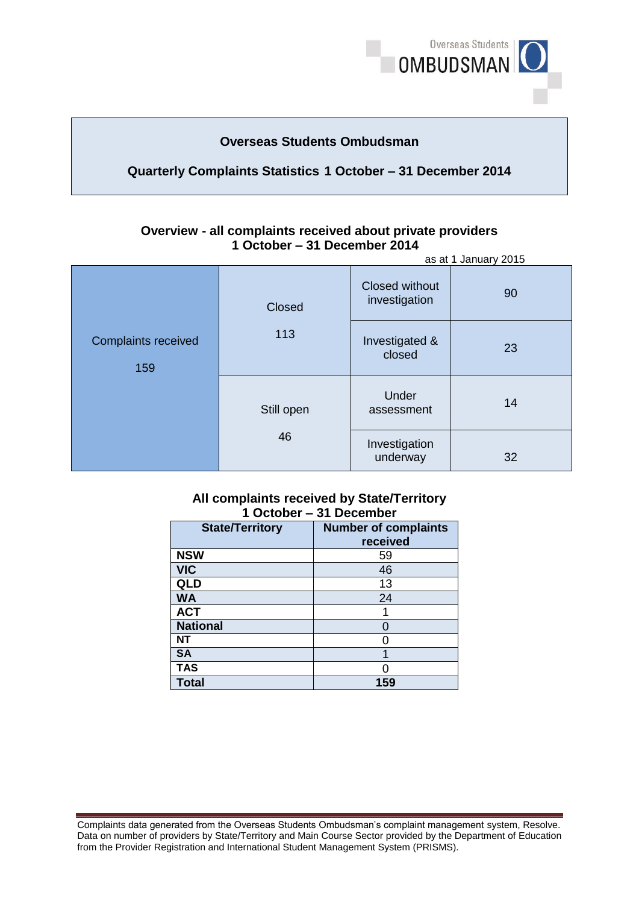

# **Overseas Students Ombudsman**

# **Quarterly Complaints Statistics 1 October – 31 December 2014**

#### **Overview - all complaints received about private providers 1 October – 31 December 2014**  as at 1 January 2015

|                                   | asat Fuanuary 2013   |                                        |    |
|-----------------------------------|----------------------|----------------------------------------|----|
| <b>Complaints received</b><br>159 | <b>Closed</b><br>113 | <b>Closed without</b><br>investigation | 90 |
|                                   |                      | Investigated &<br>closed               | 23 |
|                                   | Still open<br>46     | Under<br>assessment                    | 14 |
|                                   |                      | Investigation<br>underway              | 32 |

### **1 October – 31 December All complaints received by State/Territory**

| <b>State/Territory</b> | <b>Number of complaints</b> |  |  |
|------------------------|-----------------------------|--|--|
|                        | received                    |  |  |
| <b>NSW</b>             | 59                          |  |  |
| <b>VIC</b>             | 46                          |  |  |
| <b>QLD</b>             | 13                          |  |  |
| <b>WA</b>              | 24                          |  |  |
| <b>ACT</b>             |                             |  |  |
| <b>National</b>        |                             |  |  |
| NT                     |                             |  |  |
| <b>SA</b>              |                             |  |  |
| <b>TAS</b>             |                             |  |  |
| <b>Total</b>           | 159                         |  |  |

Complaints data generated from the Overseas Students Ombudsman's complaint management system, Resolve. Complaints data generated from the Overseas Students Ombudsman's complaint management system, Resolve.<br>Data on number of providers by State/Territory and Main Course Sector provided by the Department of Education from the Provider Registration and International Student Management System (PRISMS).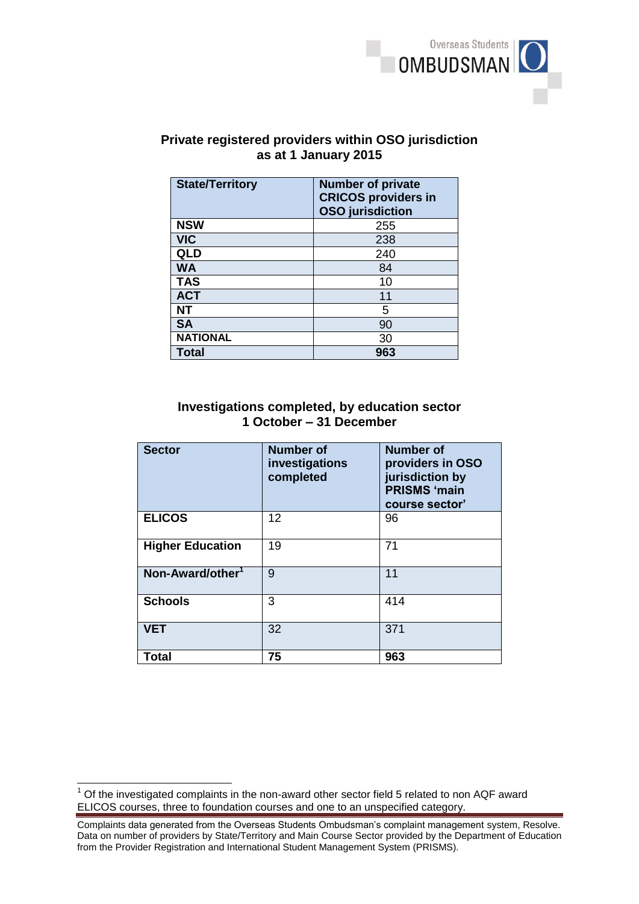

## **Private registered providers within OSO jurisdiction as at 1 January 2015**

| <b>State/Territory</b> | <b>Number of private</b><br><b>CRICOS providers in</b><br><b>OSO</b> jurisdiction |
|------------------------|-----------------------------------------------------------------------------------|
| <b>NSW</b>             | 255                                                                               |
| <b>VIC</b>             | 238                                                                               |
| QLD                    | 240                                                                               |
| <b>WA</b>              | 84                                                                                |
| <b>TAS</b>             | 10                                                                                |
| <b>ACT</b>             | 11                                                                                |
| NΤ                     | 5                                                                                 |
| <b>SA</b>              | 90                                                                                |
| <b>NATIONAL</b>        | 30                                                                                |
| <b>Total</b>           | 963                                                                               |

### **1 October – 31 December Investigations completed, by education sector**

| <b>Sector</b>                | <b>Number</b> of<br>investigations<br>completed | <b>Number of</b><br>providers in OSO<br>jurisdiction by<br><b>PRISMS 'main</b><br>course sector' |
|------------------------------|-------------------------------------------------|--------------------------------------------------------------------------------------------------|
| <b>ELICOS</b>                | 12                                              | 96                                                                                               |
| <b>Higher Education</b>      | 19                                              | 71                                                                                               |
| Non-Award/other <sup>1</sup> | 9                                               | 11                                                                                               |
| <b>Schools</b>               | 3                                               | 414                                                                                              |
| <b>VET</b>                   | 32                                              | 371                                                                                              |
| Total                        | 75                                              | 963                                                                                              |

 $\overline{1}$ 

 $1$  Of the investigated complaints in the non-award other sector field 5 related to non AQF award ELICOS courses, three to foundation courses and one to an unspecified category.

Complaints data generated from the Overseas Students Ombudsman's complaint management system, Resolve. Complaints data generated from the Overseas Students Ombudsman's complaint management system, Resolve.<br>Data on number of providers by State/Territory and Main Course Sector provided by the Department of Education from the Provider Registration and International Student Management System (PRISMS).